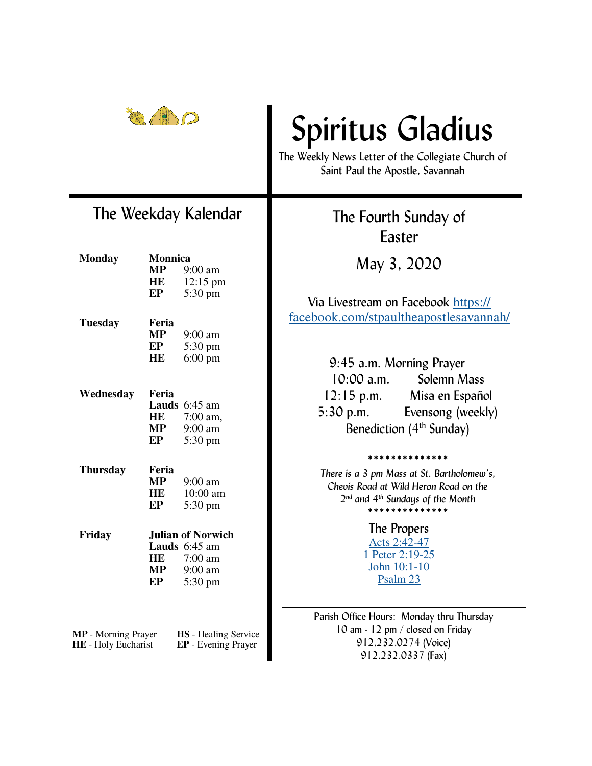

### The Weekday Kalendar

| <b>Monday</b>                                      | <b>Monnica</b>           |                   |
|----------------------------------------------------|--------------------------|-------------------|
|                                                    | MP                       | 9:00 am           |
|                                                    | HE                       | 12:15 pm          |
|                                                    | EP                       | 5:30 pm           |
|                                                    |                          |                   |
| <b>Tuesday</b>                                     | Feria                    |                   |
|                                                    | MP                       | 9:00 am           |
|                                                    | EP                       | 5:30 pm           |
|                                                    | HE                       | $6:00 \text{ pm}$ |
|                                                    |                          |                   |
| Wednesday                                          | Feria                    |                   |
|                                                    |                          | Lauds 6:45 am     |
|                                                    | HE                       | 7:00 am,          |
|                                                    | MP                       | 9:00 am           |
|                                                    | EP                       | 5:30 pm           |
|                                                    |                          |                   |
| <b>Thursday</b>                                    | Feria<br>MP              | 9:00 am           |
|                                                    |                          |                   |
|                                                    | HE                       | 10:00 am          |
|                                                    | EP                       | 5:30 pm           |
| Friday                                             | <b>Julian of Norwich</b> |                   |
|                                                    |                          | Lauds 6:45 am     |
|                                                    | HE                       | 7:00 am           |
|                                                    | MP                       | 9:00 am           |
|                                                    | EP                       | 5:30 pm           |
|                                                    |                          |                   |
|                                                    |                          |                   |
| MP - Morning Prayer<br><b>HS</b> - Healing Service |                          |                   |
| HE - Holy Eucharist<br>EP - Evening Prayer         |                          |                   |

# Spiritus Gladius

The Weekly News Letter of the Collegiate Church of Saint Paul the Apostle, Savannah

> The Fourth Sunday of Easter

> > May 3, 2020

Via Livestream on Facebook https:// facebook.com/stpaultheapostlesavannah/

| 9:45 a.m. Morning Prayer             |                   |  |
|--------------------------------------|-------------------|--|
| $10:00$ a.m.                         | Solemn Mass       |  |
| $12:15$ p.m.                         | Misa en Español   |  |
| $5:30$ p.m.                          | Evensong (weekly) |  |
| Benediction (4 <sup>th</sup> Sunday) |                   |  |

\*\*\*\*\*\*\*\*\*\*\*\*\*\*

*There is a 3 pm Mass at St. Bartholomew's, Chevis Road at Wild Heron Road on the 2 nd and 4th Sundays of the Month*  \*\*\*\*\*\*\*\*\*\*\*\*\*\*

> The Propers Acts 2:42-47 1 Peter 2:19-25 John 10:1-10 Psalm 23

Parish Office Hours: Monday thru Thursday 10 am - 12 pm / closed on Friday 912.232.0274 (Voice) 912.232.0337 (Fax)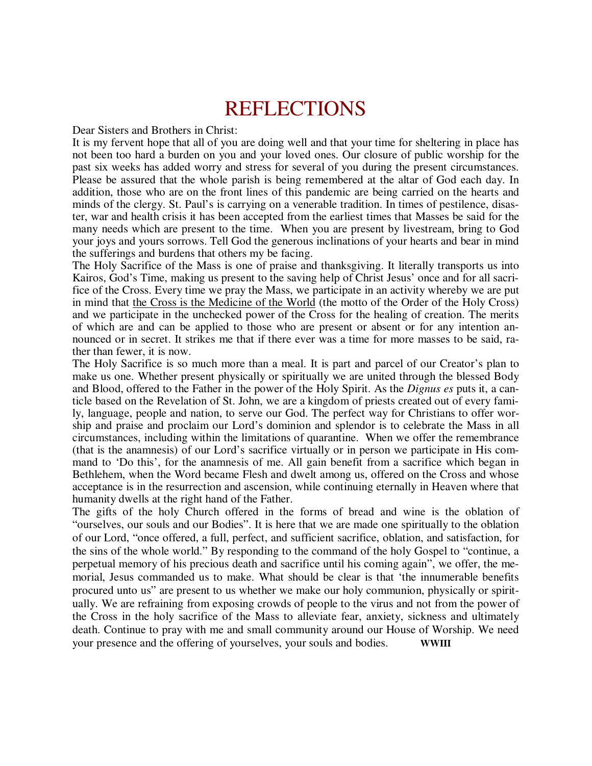## REFLECTIONS

Dear Sisters and Brothers in Christ:

It is my fervent hope that all of you are doing well and that your time for sheltering in place has not been too hard a burden on you and your loved ones. Our closure of public worship for the past six weeks has added worry and stress for several of you during the present circumstances. Please be assured that the whole parish is being remembered at the altar of God each day. In addition, those who are on the front lines of this pandemic are being carried on the hearts and minds of the clergy. St. Paul's is carrying on a venerable tradition. In times of pestilence, disaster, war and health crisis it has been accepted from the earliest times that Masses be said for the many needs which are present to the time. When you are present by livestream, bring to God your joys and yours sorrows. Tell God the generous inclinations of your hearts and bear in mind the sufferings and burdens that others my be facing.

The Holy Sacrifice of the Mass is one of praise and thanksgiving. It literally transports us into Kairos, God's Time, making us present to the saving help of Christ Jesus' once and for all sacrifice of the Cross. Every time we pray the Mass, we participate in an activity whereby we are put in mind that the Cross is the Medicine of the World (the motto of the Order of the Holy Cross) and we participate in the unchecked power of the Cross for the healing of creation. The merits of which are and can be applied to those who are present or absent or for any intention announced or in secret. It strikes me that if there ever was a time for more masses to be said, rather than fewer, it is now.

The Holy Sacrifice is so much more than a meal. It is part and parcel of our Creator's plan to make us one. Whether present physically or spiritually we are united through the blessed Body and Blood, offered to the Father in the power of the Holy Spirit. As the *Dignus es* puts it, a canticle based on the Revelation of St. John, we are a kingdom of priests created out of every family, language, people and nation, to serve our God. The perfect way for Christians to offer worship and praise and proclaim our Lord's dominion and splendor is to celebrate the Mass in all circumstances, including within the limitations of quarantine. When we offer the remembrance (that is the anamnesis) of our Lord's sacrifice virtually or in person we participate in His command to 'Do this', for the anamnesis of me. All gain benefit from a sacrifice which began in Bethlehem, when the Word became Flesh and dwelt among us, offered on the Cross and whose acceptance is in the resurrection and ascension, while continuing eternally in Heaven where that humanity dwells at the right hand of the Father.

The gifts of the holy Church offered in the forms of bread and wine is the oblation of "ourselves, our souls and our Bodies". It is here that we are made one spiritually to the oblation of our Lord, "once offered, a full, perfect, and sufficient sacrifice, oblation, and satisfaction, for the sins of the whole world." By responding to the command of the holy Gospel to "continue, a perpetual memory of his precious death and sacrifice until his coming again", we offer, the memorial, Jesus commanded us to make. What should be clear is that 'the innumerable benefits procured unto us" are present to us whether we make our holy communion, physically or spiritually. We are refraining from exposing crowds of people to the virus and not from the power of the Cross in the holy sacrifice of the Mass to alleviate fear, anxiety, sickness and ultimately death. Continue to pray with me and small community around our House of Worship. We need your presence and the offering of yourselves, your souls and bodies. **WWIII**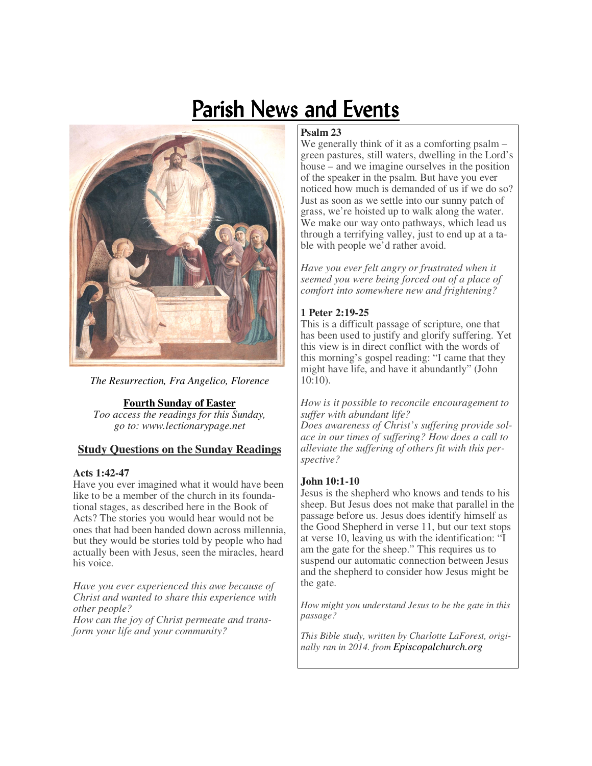## Parish News and Events



*The Resurrection, Fra Angelico, Florence* 

**Fourth Sunday of Easter** 

*Too access the readings for this Sunday, go to: www.lectionarypage.net* 

#### **Study Questions on the Sunday Readings**

#### **Acts 1:42-47**

Have you ever imagined what it would have been like to be a member of the church in its foundational stages, as described here in the Book of Acts? The stories you would hear would not be ones that had been handed down across millennia, but they would be stories told by people who had actually been with Jesus, seen the miracles, heard his voice.

*Have you ever experienced this awe because of Christ and wanted to share this experience with other people? How can the joy of Christ permeate and transform your life and your community?* 

#### **Psalm 23**

We generally think of it as a comforting psalm – green pastures, still waters, dwelling in the Lord's house – and we imagine ourselves in the position of the speaker in the psalm. But have you ever noticed how much is demanded of us if we do so? Just as soon as we settle into our sunny patch of grass, we're hoisted up to walk along the water. We make our way onto pathways, which lead us through a terrifying valley, just to end up at a table with people we'd rather avoid.

*Have you ever felt angry or frustrated when it seemed you were being forced out of a place of comfort into somewhere new and frightening?* 

#### **1 Peter 2:19-25**

This is a difficult passage of scripture, one that has been used to justify and glorify suffering. Yet this view is in direct conflict with the words of this morning's gospel reading: "I came that they might have life, and have it abundantly" (John 10:10).

*How is it possible to reconcile encouragement to suffer with abundant life?* 

*Does awareness of Christ's suffering provide solace in our times of suffering? How does a call to alleviate the suffering of others fit with this perspective?* 

#### **John 10:1-10**

Jesus is the shepherd who knows and tends to his sheep. But Jesus does not make that parallel in the passage before us. Jesus does identify himself as the Good Shepherd in verse 11, but our text stops at verse 10, leaving us with the identification: "I am the gate for the sheep." This requires us to suspend our automatic connection between Jesus and the shepherd to consider how Jesus might be the gate.

*How might you understand Jesus to be the gate in this passage?* 

*This Bible study, written by Charlotte LaForest, originally ran in 2014. from Episcopalchurch.org*